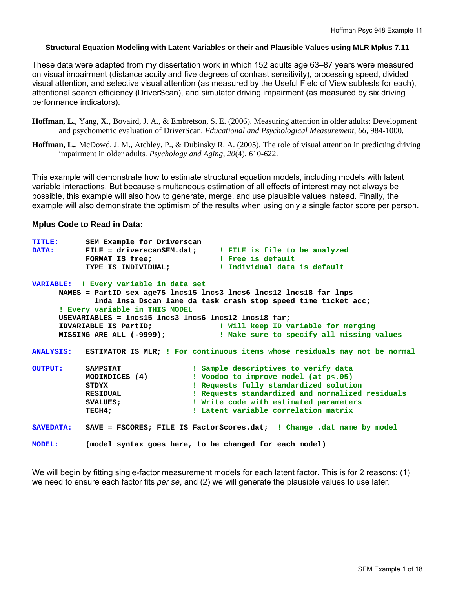### **Structural Equation Modeling with Latent Variables or their and Plausible Values using MLR Mplus 7.11**

These data were adapted from my dissertation work in which 152 adults age 63–87 years were measured on visual impairment (distance acuity and five degrees of contrast sensitivity), processing speed, divided visual attention, and selective visual attention (as measured by the Useful Field of View subtests for each), attentional search efficiency (DriverScan), and simulator driving impairment (as measured by six driving performance indicators).

- **Hoffman, L.**, Yang, X., Bovaird, J. A., & Embretson, S. E. (2006). Measuring attention in older adults: Development and psychometric evaluation of DriverScan. *Educational and Psychological Measurement, 66*, 984-1000.
- **Hoffman, L.**, McDowd, J. M., Atchley, P., & Dubinsky R. A. (2005). The role of visual attention in predicting driving impairment in older adults*. Psychology and Aging, 20*(4), 610-622.

This example will demonstrate how to estimate structural equation models, including models with latent variable interactions. But because simultaneous estimation of all effects of interest may not always be possible, this example will also how to generate, merge, and use plausible values instead. Finally, the example will also demonstrate the optimism of the results when using only a single factor score per person.

### **Mplus Code to Read in Data:**

| <b>TITLE:</b>    | SEM Example for Driverscan                               |                                                                            |
|------------------|----------------------------------------------------------|----------------------------------------------------------------------------|
| <b>DATA:</b>     |                                                          | FILE = driverscanSEM.dat; : FILE is file to be analyzed                    |
|                  | FORMAT IS free; The Pree is default                      |                                                                            |
|                  |                                                          | TYPE IS INDIVIDUAL; [Individual data is default                            |
|                  | VARIABLE: ! Every variable in data set                   |                                                                            |
|                  |                                                          | NAMES = PartID sex age75 lncs15 lncs3 lncs6 lncs12 lncs18 far lnps         |
|                  |                                                          | Inda Insa Dscan lane da task crash stop speed time ticket acc;             |
|                  | ! Every variable in THIS MODEL                           |                                                                            |
|                  | USEVARIABLES = $lncs15$ $lncs3$ $lncs12$ $lncs18$ $far:$ |                                                                            |
|                  |                                                          | IDVARIABLE IS PartID; The Mill keep ID variable for merging                |
|                  | MISSING ARE ALL (-9999);                                 | ! Make sure to specify all missing values                                  |
| <b>ANALYSIS:</b> |                                                          | ESTIMATOR IS MLR; ! For continuous items whose residuals may not be normal |
| <b>OUTPUT:</b>   | SAMPSTAT                                                 | ! Sample descriptives to verify data                                       |
|                  | MODINDICES (4)                                           | ! Voodoo to improve model (at p<.05)                                       |
|                  | STDYX                                                    | ! Requests fully standardized solution                                     |
|                  | RESIDUAL                                                 | ! Requests standardized and normalized residuals                           |
|                  | <b>SVALUES ;</b>                                         | ! Write code with estimated parameters                                     |
|                  | TECH4;                                                   | ! Latent variable correlation matrix                                       |
| <b>SAVEDATA:</b> |                                                          | SAVE = FSCORES; FILE IS FactorScores.dat; ! Change .dat name by model      |
| <b>MODEL:</b>    |                                                          | (model syntax goes here, to be changed for each model)                     |

We will begin by fitting single-factor measurement models for each latent factor. This is for 2 reasons: (1) we need to ensure each factor fits *per se*, and (2) we will generate the plausible values to use later.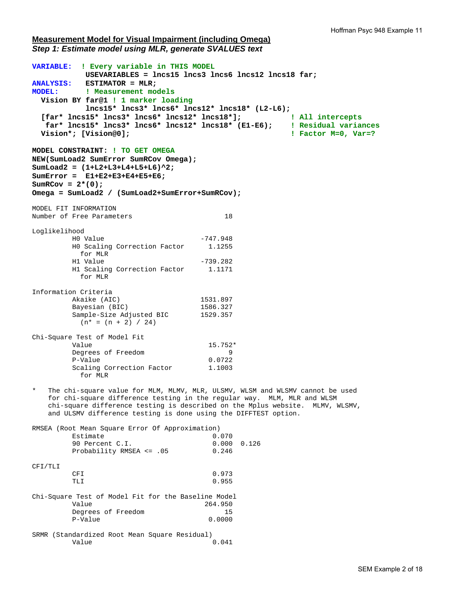### **Measurement Model for Visual Impairment (including Omega)**  *Step 1: Estimate model using MLR, generate SVALUES text*

**VARIABLE: ! Every variable in THIS MODEL USEVARIABLES = lncs15 lncs3 lncs6 lncs12 lncs18 far; ANALYSIS: ESTIMATOR = MLR; MODEL: ! Measurement models Vision BY far@1 ! 1 marker loading lncs15\* lncs3\* lncs6\* lncs12\* lncs18\* (L2-L6); [far\* lncs15\* lncs3\* lncs6\* lncs12\* lncs18\*]; ! All intercepts far\* lncs15\* lncs3\* lncs6\* lncs12\* lncs18\* (E1-E6); ! Residual variances Vision\*; [Vision@0]; ! Factor M=0, Var=? MODEL CONSTRAINT: ! TO GET OMEGA NEW(SumLoad2 SumError SumRCov Omega); SumLoad2 = (1+L2+L3+L4+L5+L6)^2; SumError = E1+E2+E3+E4+E5+E6;**   $SumRCov = 2*(0);$ **Omega = SumLoad2 / (SumLoad2+SumError+SumRCov);**  MODEL FIT INFORMATION Number of Free Parameters 18 Loglikelihood H0 Value -747.948 H0 Scaling Correction Factor 1.1255 for MLR H1 Value -739.282 H1 Scaling Correction Factor 1.1171 for MLR Information Criteria Akaike (AIC) 1531.897<br>Bayesian (BIC) 1586.327 Bayesian (BIC) 1586.327<br>Sample-Size Adjusted BIC 1529.357 Sample-Size Adjusted BIC  $(n* = (n + 2) / 24)$ Chi-Square Test of Model Fit Value 15.752\* Degrees of Freedom 9<br>P-Value 0.0722 P-Value 0.0722<br>Scaling Correction Factor 1.1003 Scaling Correction Factor for MLR The chi-square value for MLM, MLMV, MLR, ULSMV, WLSM and WLSMV cannot be used for chi-square difference testing in the regular way. MLM, MLR and WLSM chi-square difference testing is described on the Mplus website. MLMV, WLSMV, and ULSMV difference testing is done using the DIFFTEST option. RMSEA (Root Mean Square Error Of Approximation) Estimate 0.070<br>90 Percent C.I. 0.000 0.126 90 Percent C.I. Probability RMSEA <= .05 0.246 CFI/TLI CFI 0.973 TLI 0.955 Chi-Square Test of Model Fit for the Baseline Model Value 264.950 Degrees of Freedom 15<br>
P-Value 0.0000 P-Value SRMR (Standardized Root Mean Square Residual) Value 0.041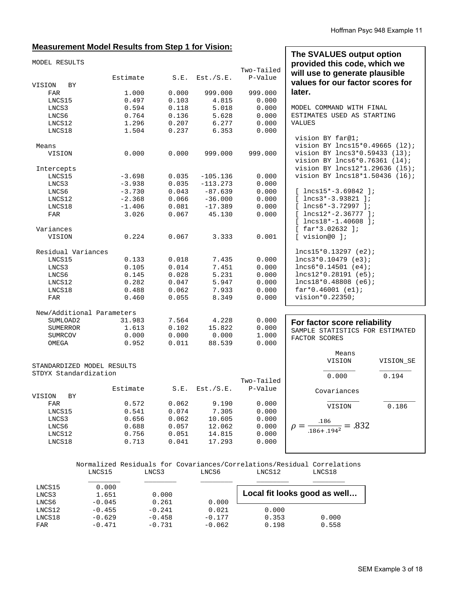# **Measurement Model Results from Step 1 for Vision:**

| <u> Measurement Model Results from Step 1 for Vision:</u> |          |       |            |                       |                                                                                                                                 |
|-----------------------------------------------------------|----------|-------|------------|-----------------------|---------------------------------------------------------------------------------------------------------------------------------|
| MODEL RESULTS                                             | Estimate | S.E.  | Est./S.E.  | Two-Tailed<br>P-Value | The SVALUES output option<br>provided this code, which we<br>will use to generate plausible<br>values for our factor scores for |
| <b>BY</b><br>VISION                                       |          |       |            |                       |                                                                                                                                 |
| FAR                                                       | 1.000    | 0.000 | 999.000    | 999.000               | later.                                                                                                                          |
| LNCS15                                                    | 0.497    | 0.103 | 4.815      | 0.000                 |                                                                                                                                 |
| LNCS3                                                     | 0.594    | 0.118 | 5.018      | 0.000                 | MODEL COMMAND WITH FINAL                                                                                                        |
| LNCS6                                                     | 0.764    | 0.136 | 5.628      | 0.000                 | ESTIMATES USED AS STARTING                                                                                                      |
| LNCS12                                                    | 1.296    | 0.207 | 6.277      | 0.000                 | <b>VALUES</b>                                                                                                                   |
| LNCS18                                                    | 1.504    | 0.237 | 6.353      | 0.000                 |                                                                                                                                 |
|                                                           |          |       |            |                       | vision BY far@1;                                                                                                                |
| Means                                                     |          |       |            |                       | vision BY lncs15*0.49665 (12);                                                                                                  |
| VISION                                                    | 0.000    | 0.000 | 999.000    | 999.000               | vision BY lncs3*0.59433 (13);<br>vision BY lncs6*0.76361 (14);                                                                  |
| Intercepts                                                |          |       |            |                       | vision BY lncs12*1.29636 (15);                                                                                                  |
| LNCS15                                                    | $-3.698$ | 0.035 | $-105.136$ | 0.000                 | vision BY lncs18*1.50436 (16);                                                                                                  |
| LNCS3                                                     | $-3.938$ | 0.035 | $-113.273$ | 0.000                 |                                                                                                                                 |
| LNCS6                                                     | $-3.730$ | 0.043 | $-87.639$  | 0.000                 | $[$ lncs15*-3.69842 ];                                                                                                          |
| LNCS12                                                    | $-2.368$ | 0.066 | $-36.000$  | 0.000                 | $[$ lncs3*-3.93821 ];                                                                                                           |
| LNCS18                                                    | $-1.406$ | 0.081 | $-17.389$  | 0.000                 | $[$ lncs6*-3.72997 ];                                                                                                           |
| FAR                                                       | 3.026    | 0.067 | 45.130     | 0.000                 | $[$ lncs12*-2.36777 ];                                                                                                          |
|                                                           |          |       |            |                       | $[$ lncs18*-1.40608 ];                                                                                                          |
| Variances                                                 |          |       |            |                       | $[$ far*3.02632 ];                                                                                                              |
| VISION                                                    | 0.224    | 0.067 | 3.333      | 0.001                 | $[$ vision@0 $]$ ;                                                                                                              |
| Residual Variances                                        |          |       |            |                       | $lncs15*0.13297 (e2);$                                                                                                          |
| LNCS15                                                    | 0.133    | 0.018 | 7.435      | 0.000                 | $lncs3*0.10479$ (e3);                                                                                                           |
| LNCS3                                                     | 0.105    | 0.014 | 7.451      | 0.000                 | $lncs6*0.14501 (e4);$                                                                                                           |
| LNCS6                                                     | 0.145    | 0.028 | 5.231      | 0.000                 | $lncs12*0.28191$ (e5);                                                                                                          |
| LNCS12                                                    | 0.282    | 0.047 | 5.947      | 0.000                 | $lncs18*0.48808$ (e6);                                                                                                          |
| LNCS18                                                    | 0.488    | 0.062 | 7.933      | 0.000                 | $far*0.46001 (e1);$                                                                                                             |
| FAR                                                       | 0.460    | 0.055 | 8.349      | 0.000                 | vision*0.22350;                                                                                                                 |
| New/Additional Parameters                                 |          |       |            |                       |                                                                                                                                 |
| SUMLOAD2                                                  | 31.983   | 7.564 | 4.228      | 0.000                 | For factor score reliability                                                                                                    |
| <b>SUMERROR</b>                                           | 1.613    | 0.102 | 15.822     | 0.000                 | SAMPLE STATISTICS FOR ESTIMATED                                                                                                 |
| SUMRCOV                                                   | 0.000    | 0.000 | 0.000      | 1.000                 | FACTOR SCORES                                                                                                                   |
| OMEGA                                                     | 0.952    | 0.011 | 88.539     | 0.000                 |                                                                                                                                 |
|                                                           |          |       |            |                       | Means                                                                                                                           |
|                                                           |          |       |            |                       | VISION<br>VISION SE                                                                                                             |
| STANDARDIZED MODEL RESULTS                                |          |       |            |                       |                                                                                                                                 |
| STDYX Standardization                                     |          |       |            | Two-Tailed            | 0.000<br>0.194                                                                                                                  |
|                                                           | Estimate | S.E.  | Est./S.E.  | P-Value               |                                                                                                                                 |
| VISION<br>ВY                                              |          |       |            |                       | Covariances                                                                                                                     |
| FAR                                                       | 0.572    | 0.062 | 9.190      | 0.000                 |                                                                                                                                 |
| LNCS15                                                    | 0.541    | 0.074 | 7.305      | 0.000                 | 0.186<br>VISION                                                                                                                 |
| LNCS3                                                     | 0.656    | 0.062 | 10.605     | 0.000                 |                                                                                                                                 |
| LNCS6                                                     | 0.688    | 0.057 | 12.062     | 0.000                 | $\rho = \frac{.186}{.186 + .194^2} = .832$                                                                                      |
| LNCS12                                                    | 0.756    | 0.051 | 14.815     | 0.000                 |                                                                                                                                 |
| LNCS18                                                    | 0.713    | 0.041 | 17.293     | 0.000                 |                                                                                                                                 |
|                                                           |          |       |            |                       |                                                                                                                                 |
|                                                           |          |       |            |                       | Normalized Residuals for Covariances/Correlations/Residual Correlations                                                         |

|                                | LNCS15                           | LNCS3                            | LNCS6                         | LNCS12                  | LNCS18                       |
|--------------------------------|----------------------------------|----------------------------------|-------------------------------|-------------------------|------------------------------|
| LNCS15<br>LNCS3<br>LNCS6       | 0.000<br>1.651<br>$-0.045$       | 0.000<br>0.261                   | 0.000                         |                         | Local fit looks good as well |
| LNCS12<br>LNCS18<br><b>FAR</b> | $-0.455$<br>$-0.629$<br>$-0.471$ | $-0.241$<br>$-0.458$<br>$-0.731$ | 0.021<br>$-0.177$<br>$-0.062$ | 0.000<br>0.353<br>0.198 | 0.000<br>0.558               |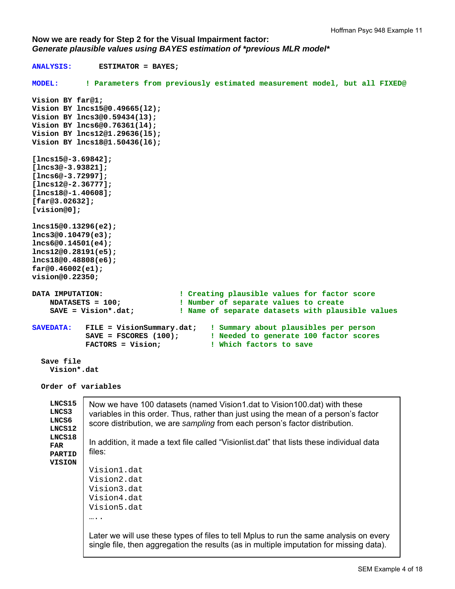**Now we are ready for Step 2 for the Visual Impairment factor:**  *Generate plausible values using BAYES estimation of \*previous MLR model\** 

**ANALYSIS: ESTIMATOR = BAYES; MODEL: ! Parameters from previously estimated measurement model, but all FIXED@ Vision BY far@1; Vision BY lncs15@0.49665(l2); Vision BY lncs3@0.59434(l3); Vision BY lncs6@0.76361(l4); Vision BY lncs12@1.29636(l5); Vision BY lncs18@1.50436(l6); [lncs15@-3.69842]; [lncs3@-3.93821]; [lncs6@-3.72997]; [lncs12@-2.36777]; [lncs18@-1.40608]; [far@3.02632]; [vision@0]; lncs15@0.13296(e2); lncs3@0.10479(e3); lncs6@0.14501(e4); lncs12@0.28191(e5); lncs18@0.48808(e6); far@0.46002(e1); vision@0.22350;**  DATA IMPUTATION: **!** Creating plausible values for factor score<br>NDATASETS = 100; <br>**!** Number of separate values to create **! Number of separate values to create** SAVE = Vision\*.dat; **12.13 External Bay BayE** : Name of separate datasets with plausible values **SAVEDATA: FILE = VisionSummary.dat; ! Summary about plausibles per person SAVE = FSCORES (100); ! Needed to generate 100 factor scores FACTORS = Vision; ! Which factors to save Save file Vision\*.dat Order of variables LNCS15 LNCS3 LNCS6 LNCS12 LNCS18 FAR PARTID VISION**  Now we have 100 datasets (named Vision1.dat to Vision100.dat) with these variables in this order. Thus, rather than just using the mean of a person's factor score distribution, we are *sampling* from each person's factor distribution. In addition, it made a text file called "Visionlist.dat" that lists these individual data files: Vision1.dat Vision2.dat Vision3.dat Vision4.dat Vision5.dat …. Later we will use these types of files to tell Mplus to run the same analysis on every single file, then aggregation the results (as in multiple imputation for missing data).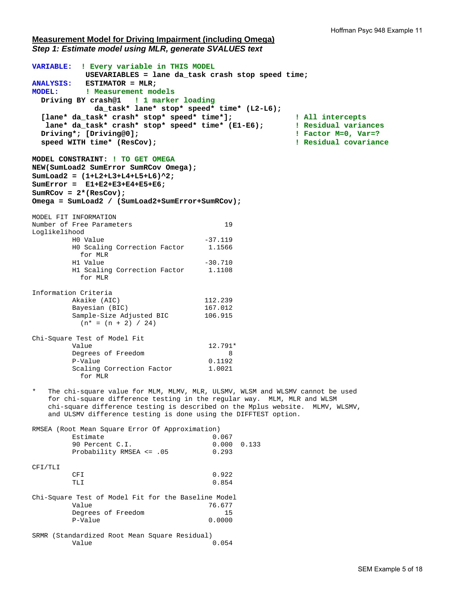## **Measurement Model for Driving Impairment (including Omega)**  *Step 1: Estimate model using MLR, generate SVALUES text*

**VARIABLE: ! Every variable in THIS MODEL USEVARIABLES = lane da\_task crash stop speed time; ANALYSIS: ESTIMATOR = MLR; MODEL: ! Measurement models Driving BY crash@1 ! 1 marker loading da\_task\* lane\* stop\* speed\* time\* (L2-L6); [lane\* da\_task\* crash\* stop\* speed\* time\*]; ! All intercepts lane\* da\_task\* crash\* stop\* speed\* time\* (E1-E6); ! Residual variances Driving\*; [Driving@0]; ! Factor M=0, Var=? speed WITH time\* (ResCov); ! Residual covariance MODEL CONSTRAINT: ! TO GET OMEGA NEW(SumLoad2 SumError SumRCov Omega); SumLoad2 = (1+L2+L3+L4+L5+L6)^2; SumError = E1+E2+E3+E4+E5+E6; SumRCov = 2\*(ResCov); Omega = SumLoad2 / (SumLoad2+SumError+SumRCov);**  MODEL FIT INFORMATION Number of Free Parameters 19 Loglikelihood H0 Value -37.119 H0 Scaling Correction Factor 1.1566 for MLR H1 Value -30.710 H1 Scaling Correction Factor 1.1108 for MLR Information Criteria Akaike (AIC) 112.239 Bayesian (BIC) 167.012 Sample-Size Adjusted BIC 106.915  $(n* = (n + 2) / 24)$ Chi-Square Test of Model Fit Value 12.791\* Deqrees of Freedom 8 P-Value 0.1192 Scaling Correction Factor 1.0021 for MLR The chi-square value for MLM, MLMV, MLR, ULSMV, WLSM and WLSMV cannot be used for chi-square difference testing in the regular way. MLM, MLR and WLSM chi-square difference testing is described on the Mplus website. MLMV, WLSMV, and ULSMV difference testing is done using the DIFFTEST option. RMSEA (Root Mean Square Error Of Approximation) Estimate 0.067 90 Percent C.I. 0.000 0.133 Probability RMSEA <= .05 0.293 CFI/TLI CFI 0.922 TLI 0.854 Chi-Square Test of Model Fit for the Baseline Model Value 76.677 Degrees of Freedom 15<br>P-Value 0.0000 P-Value SRMR (Standardized Root Mean Square Residual) Value 0.054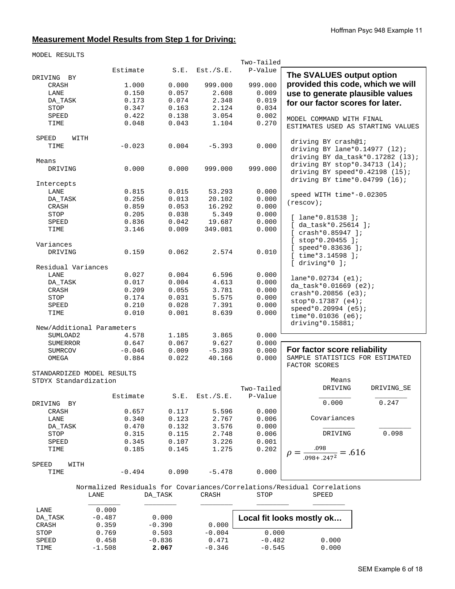# **Measurement Model Results from Step 1 for Driving:**

MODEL RESULTS

|                            |          |                     |           | Two-Tailed |                                                                         |
|----------------------------|----------|---------------------|-----------|------------|-------------------------------------------------------------------------|
|                            | Estimate | S.E.                | Est./S.E. | P-Value    |                                                                         |
| DRIVING BY                 |          |                     |           |            | The SVALUES output option                                               |
| CRASH                      | 1.000    | 0.000               | 999.000   | 999.000    | provided this code, which we will                                       |
| LANE                       | 0.150    | 0.057               | 2.608     | 0.009      | use to generate plausible values                                        |
| DA_TASK                    | 0.173    | 0.074               | 2.348     | 0.019      | for our factor scores for later.                                        |
| STOP                       | 0.347    | 0.163               | 2.124     | 0.034      |                                                                         |
| SPEED                      | 0.422    | 0.138               | 3.054     | 0.002      | MODEL COMMAND WITH FINAL                                                |
| TIME                       | 0.048    | 0.043               | 1.104     | 0.270      | ESTIMATES USED AS STARTING VALUES                                       |
|                            |          |                     |           |            |                                                                         |
| SPEED<br>WITH              |          |                     |           |            | driving BY crash@1;                                                     |
| TIME                       | $-0.023$ | 0.004               | $-5.393$  | 0.000      | driving BY lane* $0.14977$ (12);                                        |
|                            |          |                     |           |            |                                                                         |
| Means                      |          |                     |           |            | driving BY da_task* $0.17282$ (13);                                     |
| DRIVING                    | 0.000    | 0.000               | 999.000   | 999.000    | driving BY $stop*0.34713(14)$ ;                                         |
|                            |          |                     |           |            | driving BY speed* $0.42198$ (15);                                       |
| Intercepts                 |          |                     |           |            | driving BY time*0.04799 (16);                                           |
| LANE                       | 0.815    | 0.015               | 53.293    | 0.000      |                                                                         |
| DA_TASK                    | 0.256    | 0.013               | 20.102    | 0.000      | speed WITH time*-0.02305                                                |
| CRASH                      | 0.859    | 0.053               | 16.292    | 0.000      | (rescov);                                                               |
| STOP                       | 0.205    | 0.038               | 5.349     | 0.000      |                                                                         |
| SPEED                      | 0.836    | 0.042               | 19.687    | 0.000      | $[$ lane*0.81538 ];                                                     |
| TIME                       | 3.146    | 0.009               | 349.081   | 0.000      | $[$ da_task*0.25614 ];                                                  |
|                            |          |                     |           |            | $[crash*0.85947];$                                                      |
|                            |          |                     |           |            | $[$ stop*0.20455 ];                                                     |
| Variances                  |          |                     |           |            | $[$ speed*0.83636 ];                                                    |
| DRIVING                    | 0.159    | 0.062               | 2.574     | 0.010      | $[$ time*3.14598 ];                                                     |
|                            |          |                     |           |            | $[$ driving*0 $]$ ;                                                     |
| Residual Variances         |          |                     |           |            |                                                                         |
| LANE                       | 0.027    | 0.004               | 6.596     | 0.000      | $lane*0.02734 (e1);$                                                    |
| DA_TASK                    | 0.017    | 0.004               | 4.613     | 0.000      | da_task* $0.01669$ (e2);                                                |
| CRASH                      | 0.209    | 0.055               | 3.781     | 0.000      | $crash*0.20856 (e3);$                                                   |
| STOP                       | 0.174    | 0.031               | 5.575     | 0.000      | $stop*0.17387 (e4);$                                                    |
| SPEED                      | 0.210    | 0.028               | 7.391     | 0.000      | speed*0.20994 (e5);                                                     |
| TIME                       | 0.010    | 0.001               | 8.639     | 0.000      | time*0.01036 $(e6);$                                                    |
|                            |          |                     |           |            | driving*0.15881;                                                        |
| New/Additional Parameters  |          |                     |           |            |                                                                         |
| SUMLOAD2                   | 4.578    | 1.185               | 3.865     | 0.000      |                                                                         |
| SUMERROR                   | 0.647    | 0.067               | 9.627     | 0.000      |                                                                         |
| SUMRCOV                    | $-0.046$ | 0.009               | $-5.393$  | 0.000      | For factor score reliability                                            |
| OMEGA                      | 0.884    | 0.022               | 40.166    | 0.000      | SAMPLE STATISTICS FOR ESTIMATED                                         |
|                            |          |                     |           |            | FACTOR SCORES                                                           |
| STANDARDIZED MODEL RESULTS |          |                     |           |            |                                                                         |
| STDYX Standardization      |          |                     |           |            | Means                                                                   |
|                            |          |                     |           | Two-Tailed | DRIVING SE<br>DRIVING                                                   |
|                            | Estimate | S.E.                | Est./S.E. | P-Value    |                                                                         |
| DRIVING BY                 |          |                     |           |            | 0.000<br>0.247                                                          |
| CRASH                      | 0.657    | 0.117               | 5.596     | 0.000      |                                                                         |
| LANE                       | 0.340    | 0.123               | 2.767     | 0.006      | Covariances                                                             |
| DA_TASK                    | 0.470    | 0.132               | 3.576     | 0.000      |                                                                         |
| STOP                       | 0.315    | 0.115               | 2.748     | 0.006      | 0.098<br>DRIVING                                                        |
| SPEED                      | 0.345    | 0.107               | 3.226     | 0.001      |                                                                         |
| TIME                       | 0.185    | 0.145               | 1.275     | 0.202      |                                                                         |
|                            |          |                     |           |            | $\frac{.098}{.098 + .247^2} = .616$                                     |
| SPEED<br>WITH              |          |                     |           |            |                                                                         |
| TIME                       | $-0.494$ | 0.090               | $-5.478$  | 0.000      |                                                                         |
|                            |          |                     |           |            |                                                                         |
|                            |          |                     |           |            | Normalized Residuals for Covariances/Correlations/Residual Correlations |
|                            | LANE     | $\texttt{DA\_TASK}$ | CRASH     | STOP       | SPEED                                                                   |
|                            |          |                     |           |            |                                                                         |

| LANE        | 0.000    |          |          |                           |       |
|-------------|----------|----------|----------|---------------------------|-------|
| DA TASK     | $-0.487$ | 0.000    |          | Local fit looks mostly ok |       |
| CRASH       | 0.359    | $-0.390$ | 0.000    |                           |       |
| <b>STOP</b> | 0.769    | 0.503    | $-0.004$ | 0.000                     |       |
| SPEED       | 0.458    | $-0.836$ | 0.471    | $-0.482$                  | 0.000 |
| TIME        | $-1.508$ | 2.067    | $-0.346$ | $-0.545$                  | 0.000 |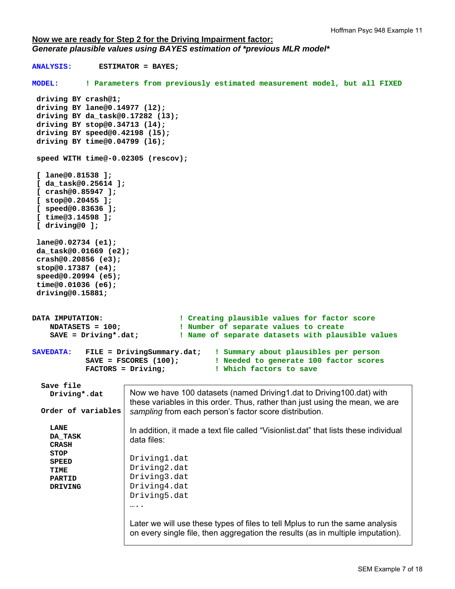## **Now we are ready for Step 2 for the Driving Impairment factor:**  *Generate plausible values using BAYES estimation of \*previous MLR model\**

```
ANALYSIS: ESTIMATOR = BAYES; 
MODEL: ! Parameters from previously estimated measurement model, but all FIXED
 driving BY crash@1; 
  driving BY lane@0.14977 (l2); 
  driving BY da_task@0.17282 (l3); 
  driving BY stop@0.34713 (l4); 
  driving BY speed@0.42198 (l5); 
  driving BY time@0.04799 (l6); 
  speed WITH time@-0.02305 (rescov); 
  [ lane@0.81538 ]; 
  [ da_task@0.25614 ]; 
  [ crash@0.85947 ]; 
  [ stop@0.20455 ]; 
  [ speed@0.83636 ]; 
  [ time@3.14598 ]; 
  [ driving@0 ]; 
  lane@0.02734 (e1); 
  da_task@0.01669 (e2); 
  crash@0.20856 (e3); 
  stop@0.17387 (e4); 
  speed@0.20994 (e5); 
  time@0.01036 (e6); 
  driving@0.15881; 
DATA IMPUTATION: ! Creating plausible values for factor score
     NDATASETS = 100; ! Number of separate values to create
     SAVE = Driving*.dat; ! Name of separate datasets with plausible values 
SAVEDATA: FILE = DrivingSummary.dat; ! Summary about plausibles per person
             SAVE = FSCORES (100); ! Needed to generate 100 factor scores
             FACTORS = Driving; ! Which factors to save 
   Save file 
     Driving*.dat 
   Order of variables 
     LANE 
     DA_TASK 
     CRASH 
     STOP 
     SPEED 
     TIME 
     PARTID 
     DRIVING 
                       Now we have 100 datasets (named Driving1.dat to Driving100.dat) with 
                       these variables in this order. Thus, rather than just using the mean, we are 
                       sampling from each person's factor score distribution. 
                       In addition, it made a text file called "Visionlist.dat" that lists these individual 
                       data files: 
                       Driving1.dat 
                       Driving2.dat 
                       Driving3.dat 
                       Driving4.dat 
                       Driving5.dat 
                       ……
                       Later we will use these types of files to tell Mplus to run the same analysis 
                       on every single file, then aggregation the results (as in multiple imputation).
```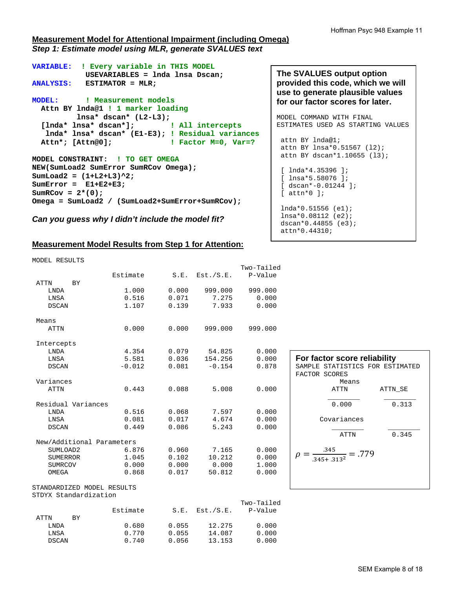# **Measurement Model for Attentional Impairment (including Omega)**  *Step 1: Estimate model using MLR, generate SVALUES text*

```
VARIABLE: ! Every variable in THIS MODEL
            USEVARIABLES = lnda lnsa Dscan; 
ANALYSIS: ESTIMATOR = MLR; 
MODEL: ! Measurement models
  Attn BY lnda@1 ! 1 marker loading
         lnsa* dscan* (L2-L3); 
   [lnda* lnsa* dscan*]; ! All intercepts
   lnda* lnsa* dscan* (E1-E3); ! Residual variances
  Attn*; [Attn@0]; ! Factor M=0, Var=?
MODEL CONSTRAINT: ! TO GET OMEGA
NEW(SumLoad2 SumError SumRCov Omega); 
SumLoad2 = (1+L2+L3)^2; 
SumError = E1+E2+E3; 
SumRCov = 2*(0);Omega = SumLoad2 / (SumLoad2+SumError+SumRCov);
```
*Can you guess why I didn't include the model fit?*

# **Measurement Model Results from Step 1 for Attention:**

| MODEL RESULTS |  |
|---------------|--|
|               |  |

|                            |          |       |           | Two-Tailed |                                 |
|----------------------------|----------|-------|-----------|------------|---------------------------------|
|                            | Estimate | S.E.  | Est./S.E. | P-Value    |                                 |
| <b>ATTN</b><br>BY          |          |       |           |            |                                 |
| <b>LNDA</b>                | 1.000    | 0.000 | 999.000   | 999.000    |                                 |
| LNSA                       | 0.516    | 0.071 | 7.275     | 0.000      |                                 |
| <b>DSCAN</b>               | 1.107    | 0.139 | 7.933     | 0.000      |                                 |
|                            |          |       |           |            |                                 |
| Means                      |          |       |           |            |                                 |
| <b>ATTN</b>                | 0.000    | 0.000 | 999.000   | 999.000    |                                 |
|                            |          |       |           |            |                                 |
| Intercepts                 |          |       |           |            |                                 |
| <b>LNDA</b>                | 4.354    | 0.079 | 54.825    | 0.000      | For factor score reliability    |
| LNSA                       | 5.581    | 0.036 | 154.256   | 0.000      |                                 |
| <b>DSCAN</b>               | $-0.012$ | 0.081 | $-0.154$  | 0.878      | SAMPLE STATISTICS FOR ESTIMATED |
|                            |          |       |           |            | FACTOR SCORES                   |
| Variances                  |          |       |           |            | Means                           |
| <b>ATTN</b>                | 0.443    | 0.088 | 5.008     | 0.000      | ATTN SE<br><b>ATTN</b>          |
| Residual Variances         |          |       |           |            | 0.000<br>0.313                  |
| LNDA                       | 0.516    | 0.068 | 7.597     | 0.000      |                                 |
| LNSA                       | 0.081    | 0.017 | 4.674     | 0.000      | Covariances                     |
| <b>DSCAN</b>               | 0.449    | 0.086 | 5.243     | 0.000      |                                 |
|                            |          |       |           |            | 0.345<br><b>ATTN</b>            |
| New/Additional Parameters  |          |       |           |            |                                 |
| SUMLOAD2                   | 6.876    | 0.960 | 7.165     | 0.000      |                                 |
| <b>SUMERROR</b>            | 1.045    | 0.102 | 10.212    | 0.000      | $\frac{.345}{.345+.313^2}=.779$ |
| SUMRCOV                    | 0.000    | 0.000 | 0.000     | 1.000      |                                 |
| OMEGA                      | 0.868    | 0.017 | 50.812    | 0.000      |                                 |
|                            |          |       |           |            |                                 |
| STANDARDIZED MODEL RESULTS |          |       |           |            |                                 |
| STDYX Standardization      |          |       |           |            |                                 |
|                            |          |       |           | Two-Tailed |                                 |
|                            | Estimate | S.E.  | Est./S.E. | P-Value    |                                 |
| <b>ATTN</b><br>BY          |          |       |           |            |                                 |
| <b>LNDA</b>                | 0.680    | 0.055 | 12.275    | 0.000      |                                 |
| LNSA                       | 0.770    | 0.055 | 14.087    | 0.000      |                                 |
| <b>DSCAN</b>               | 0.740    | 0.056 | 13.153    | 0.000      |                                 |

MODEL COMMAND WITH FINAL ESTIMATES USED AS STARTING VALUES attn BY lnda@1; attn BY lnsa\*0.51567 (l2); attn BY dscan\*1.10655 (l3); [  $lnda*4.35396$  ]; [ lnsa\*5.58076 ]; [ dscan\*-0.01244 ];  $[$  attn\*0  $]$ ; lnda\*0.51556 (e1); lnsa\*0.08112 (e2); dscan\*0.44855 (e3); attn\*0.44310;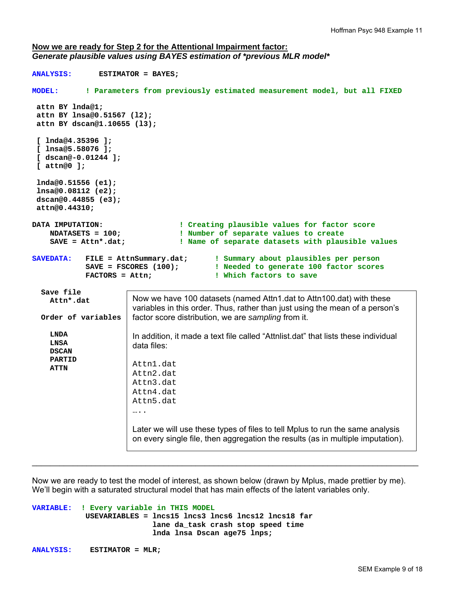### **Now we are ready for Step 2 for the Attentional Impairment factor:**  *Generate plausible values using BAYES estimation of \*previous MLR model\**

```
ANALYSIS: ESTIMATOR = BAYES; 
MODEL: ! Parameters from previously estimated measurement model, but all FIXED
  attn BY lnda@1; 
  attn BY lnsa@0.51567 (l2); 
  attn BY dscan@1.10655 (l3); 
  [ lnda@4.35396 ]; 
  [ lnsa@5.58076 ]; 
  [ dscan@-0.01244 ]; 
  [ attn@0 ]; 
  lnda@0.51556 (e1); 
  lnsa@0.08112 (e2); 
  dscan@0.44855 (e3); 
  attn@0.44310; 
DATA IMPUTATION: ! Creating plausible values for factor score
     NDATASETS = 100; ! Number of separate values to create
     SAVE = Attn*.dat; ! Name of separate datasets with plausible values 
SAVEDATA: FILE = AttnSummary.dat; ! Summary about plausibles per person
                                            ! Needed to generate 100 factor scores
             FACTORS = Attn; ! Which factors to save 
   Save file 
     Attn*.dat 
   Order of variables 
     LNDA 
     LNSA 
     DSCAN 
     PARTID 
     ATTN 
                        Now we have 100 datasets (named Attn1.dat to Attn100.dat) with these 
                        variables in this order. Thus, rather than just using the mean of a person's 
                        factor score distribution, we are sampling from it. 
                        In addition, it made a text file called "Attnlist.dat" that lists these individual 
                        data files: 
                        Attn1.dat 
                        Attn2.dat 
                        Attn3.dat 
                        Attn4.dat 
                        Attn5.dat 
                        ….
                        Later we will use these types of files to tell Mplus to run the same analysis 
                        on every single file, then aggregation the results (as in multiple imputation).
```
Now we are ready to test the model of interest, as shown below (drawn by Mplus, made prettier by me). We'll begin with a saturated structural model that has main effects of the latent variables only.

 $\_$  ,  $\_$  ,  $\_$  ,  $\_$  ,  $\_$  ,  $\_$  ,  $\_$  ,  $\_$  ,  $\_$  ,  $\_$  ,  $\_$  ,  $\_$  ,  $\_$  ,  $\_$  ,  $\_$  ,  $\_$  ,  $\_$  ,  $\_$  ,  $\_$  ,  $\_$  ,  $\_$  ,  $\_$  ,  $\_$  ,  $\_$  ,  $\_$  ,  $\_$  ,  $\_$  ,  $\_$  ,  $\_$  ,  $\_$  ,  $\_$  ,  $\_$  ,  $\_$  ,  $\_$  ,  $\_$  ,  $\_$  ,  $\_$  ,

```
VARIABLE: ! Every variable in THIS MODEL
             USEVARIABLES = lncs15 lncs3 lncs6 lncs12 lncs18 far 
                             lane da_task crash stop speed time 
                             lnda lnsa Dscan age75 lnps;
```

```
ANALYSIS: ESTIMATOR = MLR;
```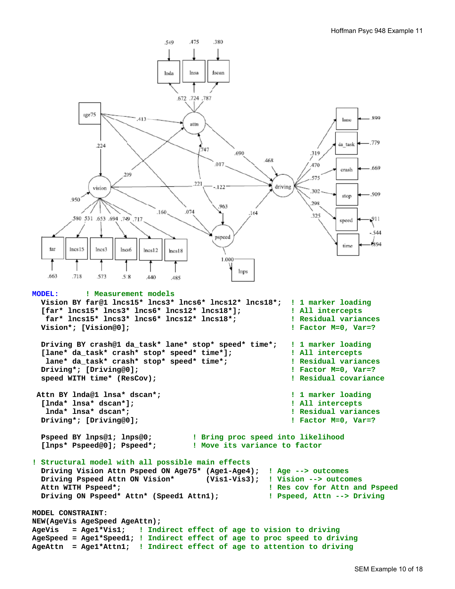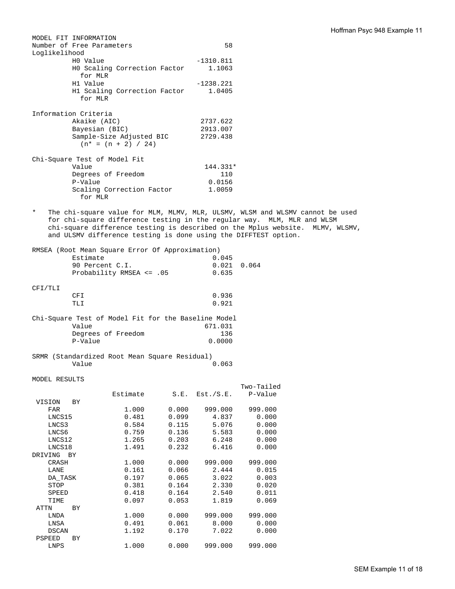|                 | MODEL FIT INFORMATION        |                                                     |       |             |                                                                               |              |
|-----------------|------------------------------|-----------------------------------------------------|-------|-------------|-------------------------------------------------------------------------------|--------------|
|                 | Number of Free Parameters    |                                                     |       | 58          |                                                                               |              |
| Loglikelihood   |                              |                                                     |       |             |                                                                               |              |
|                 | HO Value                     |                                                     |       | $-1310.811$ |                                                                               |              |
|                 |                              | HO Scaling Correction Factor                        |       | 1.1063      |                                                                               |              |
|                 | for MLR                      |                                                     |       |             |                                                                               |              |
|                 | H1 Value                     |                                                     |       | $-1238.221$ |                                                                               |              |
|                 |                              | H1 Scaling Correction Factor                        |       | 1.0405      |                                                                               |              |
|                 | for MLR                      |                                                     |       |             |                                                                               |              |
|                 |                              |                                                     |       |             |                                                                               |              |
|                 | Information Criteria         |                                                     |       |             |                                                                               |              |
|                 | Akaike (AIC)                 |                                                     |       | 2737.622    |                                                                               |              |
|                 | Bayesian (BIC)               |                                                     |       | 2913.007    |                                                                               |              |
|                 |                              | Sample-Size Adjusted BIC                            |       | 2729.438    |                                                                               |              |
|                 |                              | $(n* = (n + 2) / 24)$                               |       |             |                                                                               |              |
|                 |                              |                                                     |       |             |                                                                               |              |
|                 | Chi-Square Test of Model Fit |                                                     |       |             |                                                                               |              |
|                 | Value                        |                                                     |       | 144.331*    |                                                                               |              |
|                 |                              | Degrees of Freedom                                  |       | 110         |                                                                               |              |
|                 | P-Value                      |                                                     |       | 0.0156      |                                                                               |              |
|                 |                              | Scaling Correction Factor                           |       | 1.0059      |                                                                               |              |
|                 | for MLR                      |                                                     |       |             |                                                                               |              |
| $\ast$          |                              |                                                     |       |             |                                                                               |              |
|                 |                              |                                                     |       |             | The chi-square value for MLM, MLMV, MLR, ULSMV, WLSM and WLSMV cannot be used |              |
|                 |                              |                                                     |       |             | for chi-square difference testing in the regular way. MLM, MLR and WLSM       |              |
|                 |                              |                                                     |       |             | chi-square difference testing is described on the Mplus website.              | MLMV, WLSMV, |
|                 |                              |                                                     |       |             | and ULSMV difference testing is done using the DIFFTEST option.               |              |
|                 |                              | RMSEA (Root Mean Square Error Of Approximation)     |       |             |                                                                               |              |
|                 | Estimate                     |                                                     |       | 0.045       |                                                                               |              |
|                 |                              |                                                     |       |             |                                                                               |              |
|                 | 90 Percent C.I.              |                                                     |       | 0.021       | 0.064                                                                         |              |
|                 |                              | Probability RMSEA <= .05                            |       | 0.635       |                                                                               |              |
| CFI/TLI         |                              |                                                     |       |             |                                                                               |              |
|                 | <b>CFI</b>                   |                                                     |       | 0.936       |                                                                               |              |
|                 |                              |                                                     |       |             |                                                                               |              |
|                 | TLI                          |                                                     |       | 0.921       |                                                                               |              |
|                 |                              | Chi-Square Test of Model Fit for the Baseline Model |       |             |                                                                               |              |
|                 | Value                        |                                                     |       | 671.031     |                                                                               |              |
|                 |                              | Degrees of Freedom                                  |       | 136         |                                                                               |              |
|                 | P-Value                      |                                                     |       | 0.0000      |                                                                               |              |
|                 |                              |                                                     |       |             |                                                                               |              |
|                 |                              | SRMR (Standardized Root Mean Square Residual)       |       |             |                                                                               |              |
|                 | Value                        |                                                     |       | 0.063       |                                                                               |              |
|                 |                              |                                                     |       |             |                                                                               |              |
| MODEL RESULTS   |                              |                                                     |       |             |                                                                               |              |
|                 |                              |                                                     |       |             | Two-Tailed                                                                    |              |
|                 |                              | Estimate                                            | S.E.  | Est./S.E.   | P-Value                                                                       |              |
| VISION          | BY                           |                                                     |       |             |                                                                               |              |
| FAR             |                              | 1.000                                               | 0.000 | 999.000     | 999.000                                                                       |              |
| LNCS15          |                              | 0.481                                               | 0.099 | 4.837       | 0.000                                                                         |              |
| LNCS3           |                              | 0.584                                               | 0.115 | 5.076       | 0.000                                                                         |              |
| LNCS6           |                              | 0.759                                               | 0.136 | 5.583       | 0.000                                                                         |              |
| LNCS12          |                              | 1.265                                               | 0.203 | 6.248       | 0.000                                                                         |              |
| LNCS18          |                              | 1.491                                               | 0.232 | 6.416       | 0.000                                                                         |              |
| DRIVING BY      |                              |                                                     |       |             |                                                                               |              |
| CRASH           |                              | 1.000                                               | 0.000 | 999.000     | 999.000                                                                       |              |
| LANE            |                              | 0.161                                               | 0.066 | 2.444       | 0.015                                                                         |              |
| DA TASK         |                              | 0.197                                               | 0.065 | 3.022       | 0.003                                                                         |              |
| STOP            |                              | 0.381                                               | 0.164 | 2.330       | 0.020                                                                         |              |
| SPEED           |                              | 0.418                                               | 0.164 | 2.540       | 0.011                                                                         |              |
|                 |                              | 0.097                                               |       |             |                                                                               |              |
| TIME            |                              |                                                     | 0.053 | 1.819       | 0.069                                                                         |              |
| ATTN            | ВY                           |                                                     | 0.000 | 999.000     | 999.000                                                                       |              |
| LNDA            |                              | 1.000                                               | 0.061 |             |                                                                               |              |
| LNSA            |                              | 0.491                                               |       | 8.000       | 0.000                                                                         |              |
| DSCAN<br>PSPEED |                              | 1.192                                               | 0.170 | 7.022       | 0.000                                                                         |              |
| LNPS            | ВY                           | 1.000                                               | 0.000 | 999.000     | 999.000                                                                       |              |
|                 |                              |                                                     |       |             |                                                                               |              |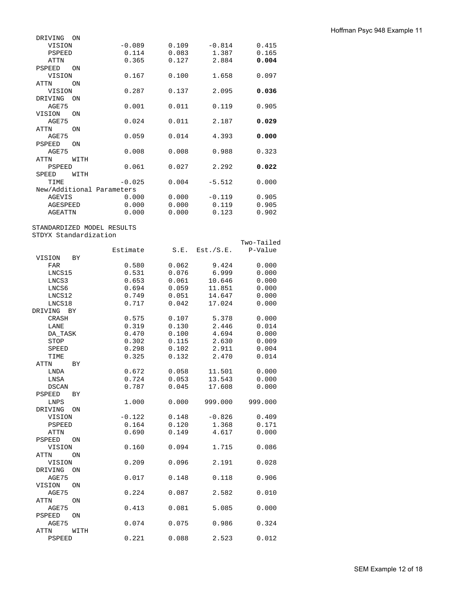| Hoffman Psyc 948 Example 11 |  |  |  |
|-----------------------------|--|--|--|
|-----------------------------|--|--|--|

| DRIVING        | ON   |                           |       |          |       |
|----------------|------|---------------------------|-------|----------|-------|
| VISION         |      | $-0.089$                  | 0.109 | $-0.814$ | 0.415 |
| PSPEED         |      | 0.114                     | 0.083 | 1.387    | 0.165 |
| <b>ATTN</b>    |      | 0.365                     | 0.127 | 2.884    | 0.004 |
| <b>PSPEED</b>  | ON   |                           |       |          |       |
| VISION         |      | 0.167                     | 0.100 | 1.658    | 0.097 |
| <b>ATTN</b>    | ON   |                           |       |          |       |
| VISION         |      | 0.287                     | 0.137 | 2.095    | 0.036 |
| DRIVING        | ON   |                           |       |          |       |
| AGE75          |      | 0.001                     | 0.011 | 0.119    | 0.905 |
| VISION         | ON   |                           |       |          |       |
| AGE75          |      | 0.024                     | 0.011 | 2.187    | 0.029 |
| <b>ATTN</b>    | ON   |                           |       |          |       |
| AGE75          |      | 0.059                     | 0.014 | 4.393    | 0.000 |
| <b>PSPEED</b>  | ON   |                           |       |          |       |
| AGE75          |      | 0.008                     | 0.008 | 0.988    | 0.323 |
| <b>ATTN</b>    | WITH |                           |       |          |       |
| <b>PSPEED</b>  |      | 0.061                     | 0.027 | 2.292    | 0.022 |
| SPEED          | WITH |                           |       |          |       |
| TIME           |      | $-0.025$                  | 0.004 | $-5.512$ | 0.000 |
|                |      | New/Additional Parameters |       |          |       |
| <b>AGEVIS</b>  |      | 0.000                     | 0.000 | $-0.119$ | 0.905 |
| AGESPEED       |      | 0.000                     | 0.000 | 0.119    | 0.905 |
| <b>AGEATTN</b> |      | 0.000                     | 0.000 | 0.123    | 0.902 |

#### STANDARDIZED MODEL RESULTS STDYX Standardization

|               |           |          |       |           | Two-Tailed |
|---------------|-----------|----------|-------|-----------|------------|
|               |           | Estimate | S.E.  | Est./S.E. | P-Value    |
| VISION        | <b>BY</b> |          |       |           |            |
| <b>FAR</b>    |           | 0.580    | 0.062 | 9.424     | 0.000      |
| LNCS15        |           | 0.531    | 0.076 | 6.999     | 0.000      |
| LNCS3         |           | 0.653    | 0.061 | 10.646    | 0.000      |
| LNCS6         |           | 0.694    | 0.059 | 11.851    | 0.000      |
| LNCS12        |           | 0.749    | 0.051 | 14.647    | 0.000      |
| LNCS18        |           | 0.717    | 0.042 | 17.024    | 0.000      |
| DRIVING       | <b>BY</b> |          |       |           |            |
| CRASH         |           | 0.575    | 0.107 | 5.378     | 0.000      |
| LANE          |           | 0.319    | 0.130 | 2.446     | 0.014      |
| DA_TASK       |           | 0.470    | 0.100 | 4.694     | 0.000      |
| STOP          |           | 0.302    | 0.115 | 2.630     | 0.009      |
| SPEED         |           | 0.298    | 0.102 | 2.911     | 0.004      |
| TIME          |           | 0.325    | 0.132 | 2.470     | 0.014      |
| ATTN          | <b>BY</b> |          |       |           |            |
| <b>LNDA</b>   |           | 0.672    | 0.058 | 11.501    | 0.000      |
| LNSA          |           | 0.724    | 0.053 | 13.543    | 0.000      |
| <b>DSCAN</b>  |           | 0.787    | 0.045 | 17.608    | 0.000      |
| <b>PSPEED</b> | BY        |          |       |           |            |
| <b>LNPS</b>   |           | 1.000    | 0.000 | 999.000   | 999.000    |
| DRIVING       | 0N        |          |       |           |            |
| VISION        |           | $-0.122$ | 0.148 | $-0.826$  | 0.409      |
| <b>PSPEED</b> |           | 0.164    | 0.120 | 1.368     | 0.171      |
| <b>ATTN</b>   |           | 0.690    | 0.149 | 4.617     | 0.000      |
| PSPEED        | ON        |          |       |           |            |
| VISION        |           | 0.160    | 0.094 | 1.715     | 0.086      |
| ATTN          | ON        |          |       |           |            |
| VISION        |           | 0.209    | 0.096 | 2.191     | 0.028      |
| DRIVING       | ON        |          |       |           |            |
| AGE75         |           | 0.017    | 0.148 | 0.118     | 0.906      |
| VISION        | ON        |          |       |           |            |
| AGE75         |           | 0.224    | 0.087 | 2.582     | 0.010      |
| <b>ATTN</b>   | ON        |          |       |           |            |
| AGE75         |           | 0.413    | 0.081 | 5.085     | 0.000      |
| <b>PSPEED</b> | ON        |          |       |           |            |
| AGE75         |           | 0.074    | 0.075 | 0.986     | 0.324      |
| <b>ATTN</b>   | WITH      |          |       |           |            |
| <b>PSPEED</b> |           | 0.221    | 0.088 | 2.523     | 0.012      |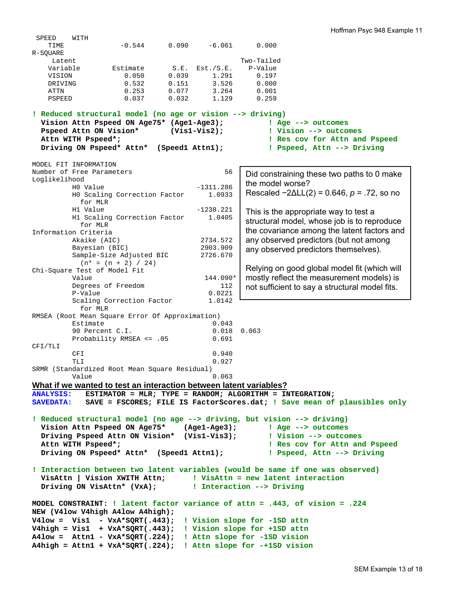SPEED WITH TIME  $-0.544$  0.090  $-6.061$  0.000 R-SQUARE Latent Two-Tailed Variable Estimate S.E. Est./S.E. P-Value VISION 0.050 0.039 1.291 0.197 DRIVING 0.532 0.151 3.526 0.000 ATTN 0.253 0.077 3.264 0.001<br>PSPEED 0.037 0.032 1.129 0.259 PSPEED 0.037 0.032 1.129 0.259 **! Reduced structural model (no age or vision --> driving) Vision Attn Pspeed ON Age75\* (Age1-Age3); ! Age --> outcomes Pspeed Attn ON Vision\* (Vis1-Vis2); ! Vision --> outcomes Attn WITH Pspeed\*; ! Res cov for Attn and Pspeed Driving ON Pspeed\* Attn\* (Speed1 Attn1); ! Pspeed, Attn --> Driving**  MODEL FIT INFORMATION Number of Free Parameters 56 Loglikelihood H0 Value -1311.286 H0 Scaling Correction Factor 1.0933 for MLR H1 Value -1238.221 H1 Scaling Correction Factor 1.0405 for MLR Information Criteria Akaike (AIC) 2734.572<br>Bayesian (BIC) 2903.909 Bayesian (BIC) Sample-Size Adjusted BIC 2726.670  $(n* = (n + 2) / 24)$ Chi-Square Test of Model Fit Value 144.090\* Degrees of Freedom 112<br>P-Value 0.0221 P-Value Scaling Correction Factor 1.0142 for MLR RMSEA (Root Mean Square Error Of Approximation) Estimate 0.043 90 Percent C.I. 0.018 0.063 Probability RMSEA <= .05 0.691 CFI/TLI CFI 0.940 TLI 0.927 SRMR (Standardized Root Mean Square Residual) Value 0.063 **What if we wanted to test an interaction between latent variables? ANALYSIS: ESTIMATOR = MLR; TYPE = RANDOM; ALGORITHM = INTEGRATION; SAVEDATA: SAVE = FSCORES; FILE IS FactorScores.dat; ! Save mean of plausibles only ! Reduced structural model (no age --> driving, but vision --> driving) Vision Attn Pspeed ON Age75\* (Age1-Age3); ! Age --> outcomes Driving Pspeed Attn ON Vision\* (Vis1-Vis3); ! Vision --> outcomes Attn WITH Pspeed\*; ! Res cov for Attn and Pspeed Driving ON Pspeed\* Attn\* (Speed1 Attn1); ! Pspeed, Attn --> Driving ! Interaction between two latent variables (would be same if one was observed) VisAttn | Vision XWITH Attn; ! VisAttn = new latent interaction Driving ON VisAttn\* (VxA); ! Interaction --> Driving MODEL CONSTRAINT: ! latent factor variance of attn = .443, of vision = .224 NEW (V4low V4high A4low A4high); V4low = Vis1 - VxA\*SQRT(.443); ! Vision slope for -1SD attn V4high = Vis1 + VxA\*SQRT(.443); ! Vision slope for +1SD attn A4low = Attn1 - VxA\*SQRT(.224); ! Attn slope for -1SD vision A4high = Attn1 + VxA\*SQRT(.224); ! Attn slope for -+1SD vision** Did constraining these two paths to 0 make the model worse? Rescaled −2∆LL(2) = 0.646, *p* = .72, so no This is the appropriate way to test a structural model, whose job is to reproduce the covariance among the latent factors and any observed predictors (but not among any observed predictors themselves). Relying on good global model fit (which will mostly reflect the measurement models) is not sufficient to say a structural model fits.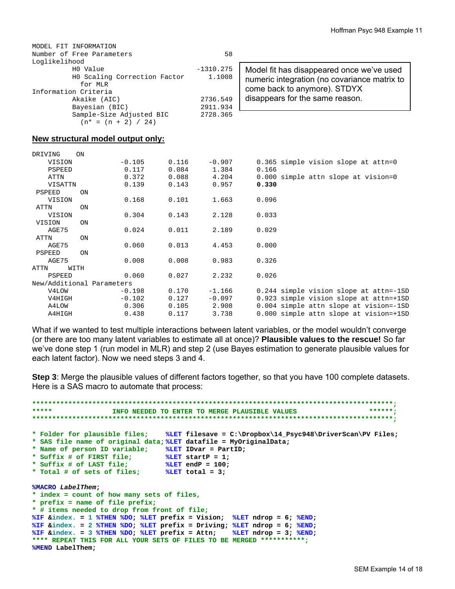| MODEL FIT INFORMATION        |             |        |
|------------------------------|-------------|--------|
| Number of Free Parameters    | 58          |        |
| Loglikelihood                |             |        |
| HO Value                     | $-1310.275$ | Model  |
| HO Scaling Correction Factor | 1.1008      | numer  |
| for MLR                      |             |        |
| Information Criteria         |             | come   |
| Akaike (AIC)                 | 2736.549    | disapp |
| Bayesian (BIC)               | 2911.934    |        |
| Sample-Size Adjusted BIC     | 2728.365    |        |
| $(n* = (n + 2) / 24)$        |             |        |

| Model fit has disappeared once we've used    |
|----------------------------------------------|
| numeric integration (no covariance matrix to |
| come back to anymore). STDYX                 |
| disappears for the same reason.              |

### **New structural model output only:**

| DRIVING                   | ON        |          |       |          |                                        |
|---------------------------|-----------|----------|-------|----------|----------------------------------------|
| VISION                    |           | $-0.105$ | 0.116 | $-0.907$ | 0.365 simple vision slope at attn=0    |
| PSPEED                    |           | 0.117    | 0.084 | 1.384    | 0.166                                  |
| ATTN                      |           | 0.372    | 0.088 | 4.204    | 0.000 simple attn slope at vision=0    |
| VISATTN                   |           | 0.139    | 0.143 | 0.957    | 0.330                                  |
| PSPEED                    | ON        |          |       |          |                                        |
| VISION                    |           | 0.168    | 0.101 | 1.663    | 0.096                                  |
| ATTN                      | ON        |          |       |          |                                        |
| VISION                    |           | 0.304    | 0.143 | 2.128    | 0.033                                  |
| VISION                    | <b>ON</b> |          |       |          |                                        |
| AGE75                     |           | 0.024    | 0.011 | 2.189    | 0.029                                  |
| ATTN                      | <b>ON</b> |          |       |          |                                        |
| AGE75                     |           | 0.060    | 0.013 | 4.453    | 0.000                                  |
| PSPEED                    | <b>ON</b> |          |       |          |                                        |
| AGE75                     |           | 0.008    | 0.008 | 0.983    | 0.326                                  |
| ATTN                      | WITH      |          |       |          |                                        |
| PSPEED                    |           | 0.060    | 0.027 | 2.232    | 0.026                                  |
| New/Additional Parameters |           |          |       |          |                                        |
| V4LOW                     |           | $-0.198$ | 0.170 | $-1.166$ | 0.244 simple vision slope at attn=-1SD |
| V4HIGH                    |           | $-0.102$ | 0.127 | $-0.097$ | 0.923 simple vision slope at attn=+1SD |
| A4LOW                     |           | 0.306    | 0.105 | 2.908    | 0.004 simple attn slope at vision=-1SD |
| A4HIGH                    |           | 0.438    | 0.117 | 3.738    | 0.000 simple attn slope at vision=+1SD |

What if we wanted to test multiple interactions between latent variables, or the model wouldn't converge (or there are too many latent variables to estimate all at once)? **Plausible values to the rescue!** So far we've done step 1 (run model in MLR) and step 2 (use Bayes estimation to generate plausible values for each latent factor). Now we need steps 3 and 4.

**Step 3**: Merge the plausible values of different factors together, so that you have 100 complete datasets. Here is a SAS macro to automate that process:

```
******************************************************************************************;
         INFO NEEDED TO ENTER TO MERGE PLAUSIBLE VALUES
******************************************************************************************;
* Folder for plausible files; %LET filesave = C:\Dropbox\14_Psyc948\DriverScan\PV Files; 
* SAS file name of original data; %LET datafile = MyOriginalData; 
* Name of person ID variable; %LET IDvar = PartID; 
* Suffix # of FIRST file; %LET startP = 1; 
* Suffix # of LAST file; %LET endP = 100; 
* Total # of sets of files; %LET total = 3; 
%MACRO LabelThem; 
* index = count of how many sets of files, 
* prefix = name of file prefix; 
* # items needed to drop from front of file; 
%IF &index. = 1 %THEN %DO; %LET prefix = Vision; %LET ndrop = 6; %END; 
%IF &index. = 2 %THEN %DO; %LET prefix = Driving; %LET ndrop = 6; %END; 
%IF &index. = 3 %THEN %DO; %LET prefix = Attn; %LET ndrop = 3; %END; 
**** REPEAT THIS FOR ALL YOUR SETS OF FILES TO BE MERGED ***********;
%MEND LabelThem;
```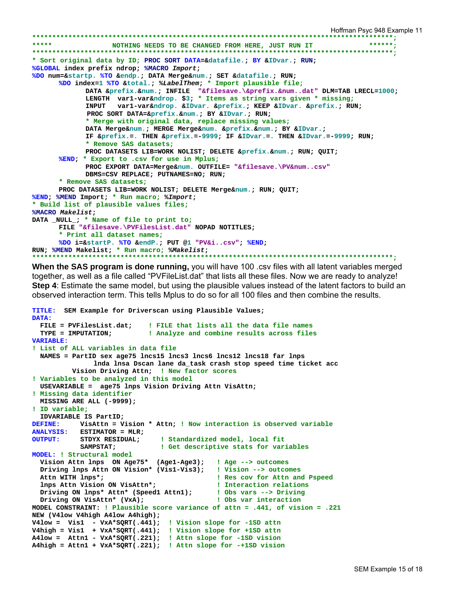```
Hoffman Psyc 948 Example 11 
******************************************************************************************;
                   *** NOTHING NEEDS TO BE CHANGED FROM HERE, JUST RUN IT
******************************************************************************************;
* Sort original data by ID; PROC SORT DATA=&datafile.; BY &IDvar.; RUN; 
%GLOBAL index prefix ndrop; %MACRO Import; 
%DO num=&startp. %TO &endp.; DATA Merge&num.; SET &datafile.; RUN; 
       %DO index=1 %TO &total.; %LabelThem; * Import plausible file;
              DATA &prefix.&num.; INFILE "&filesave.\&prefix.&num..dat" DLM=TAB LRECL=1000; 
              LENGTH var1-var&ndrop. $3; * Items as string vars given * missing;
               INPUT var1-var&ndrop. &IDvar. &prefix.; KEEP &IDvar. &prefix.; RUN; 
               PROC SORT DATA=&prefix.&num.; BY &IDvar.; RUN; 
               * Merge with original data, replace missing values;
              DATA Merge&num.; MERGE Merge&num. &prefix.&num.; BY &IDvar.; 
               IF &prefix.=. THEN &prefix.=-9999; IF &IDvar.=. THEN &IDvar.=-9999; RUN; 
               * Remove SAS datasets;
              PROC DATASETS LIB=WORK NOLIST; DELETE &prefix.&num.; RUN; QUIT; 
       %END; * Export to .csv for use in Mplus;
              PROC EXPORT DATA=Merge&num. OUTFILE= "&filesave.\PV&num..csv" 
              DBMS=CSV REPLACE; PUTNAMES=NO; RUN; 
       * Remove SAS datasets;
       PROC DATASETS LIB=WORK NOLIST; DELETE Merge&num.; RUN; QUIT; 
%END; %MEND Import; * Run macro; %Import; 
* Build list of plausible values files;
%MACRO Makelist; 
DATA _NULL_; * Name of file to print to;
      FILE "&filesave.\PVFilesList.dat" NOPAD NOTITLES; 
       * Print all dataset names;
       %DO i=&startP. %TO &endP.; PUT @1 "PV&i..csv"; %END; 
RUN; %MEND Makelist; * Run macro; %Makelist; 
                                              ******************************************************************************************;
```
**When the SAS program is done running,** you will have 100 .csv files with all latent variables merged together, as well as a file called "PVFileList.dat" that lists all these files. Now we are ready to analyze! **Step 4**: Estimate the same model, but using the plausible values instead of the latent factors to build an observed interaction term. This tells Mplus to do so for all 100 files and then combine the results.

```
TITLE: SEM Example for Driverscan using Plausible Values; 
DATA: 
 FILE = PVFilesList.dat; ! FILE that lists all the data file names 
 TYPE = IMPUTATION; ! Analyze and combine results across files
VARIABLE: 
! List of ALL variables in data file 
  NAMES = PartID sex age75 lncs15 lncs3 lncs6 lncs12 lncs18 far lnps 
               lnda lnsa Dscan lane da_task crash stop speed time ticket acc 
          Vision Driving Attn; ! New factor scores
! Variables to be analyzed in this model 
  USEVARIABLE = age75 lnps Vision Driving Attn VisAttn; 
! Missing data identifier 
  MISSING ARE ALL (-9999); 
! ID variable; 
  IDVARIABLE IS PartID; 
DEFINE: VisAttn = Vision * Attn; ! Now interaction is observed variable 
ANALYSIS: ESTIMATOR = MLR; 
OUTPUT: STDYX RESIDUAL; ! Standardized model, local fit 
                             ! Get descriptive stats for variables
MODEL: ! Structural model
  Vision Attn lnps ON Age75* (Age1-Age3); ! Age --> outcomes 
  Driving lnps Attn ON Vision* (Vis1-Vis3); ! Vision --> outcomes
  Attn WITH lnps*; ! Res cov for Attn and Pspeed
  lnps Attn Vision ON VisAttn*; ! Interaction relations
  Driving ON lnps* Attn* (Speed1 Attn1); ! Obs vars --> Driving
  Driving ON VisAttn* (VxA); ! Obs var interaction
MODEL CONSTRAINT: ! Plausible score variance of attn = .441, of vision = .221 
NEW (V4low V4high A4low A4high); 
V4low = Vis1 - VxA*SQRT(.441); ! Vision slope for -1SD attn
V4high = Vis1 + VxA*SQRT(.441); ! Vision slope for +1SD attn 
A4low = Attn1 - VxA*SQRT(.221); ! Attn slope for -1SD vision
A4high = Attn1 + VxA*SQRT(.221); ! Attn slope for -+1SD vision
```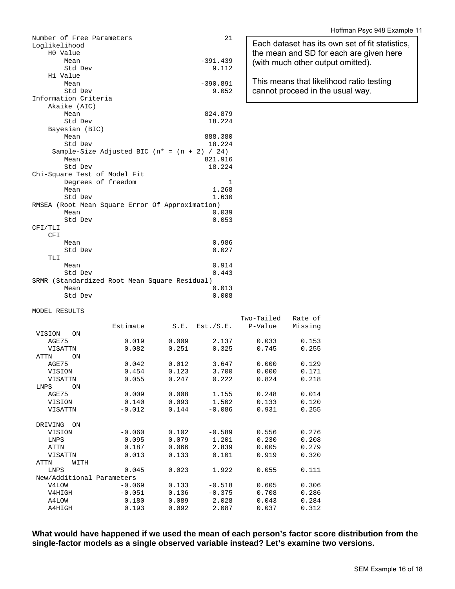| Number of Free Parameters                       | 21         |
|-------------------------------------------------|------------|
| Loglikelihood                                   |            |
| H0 Value                                        |            |
| Mean                                            | $-391.439$ |
| Std Dev                                         | 9.112      |
| H1 Value                                        |            |
| Mean                                            | $-390.891$ |
| Std Dev                                         | 9.052      |
| Information Criteria                            |            |
| Akaike (AIC)                                    |            |
| Mean                                            | 824.879    |
| Std Dev                                         | 18.224     |
| Bayesian (BIC)                                  |            |
| Mean                                            | 888.380    |
| Std Dev                                         | 18.224     |
| Sample-Size Adjusted BIC $(n* = (n + 2) / 24)$  |            |
| Mean                                            | 821.916    |
| Std Dev                                         | 18.224     |
| Chi-Square Test of Model Fit                    |            |
| Degrees of freedom                              | 1          |
| Mean                                            | 1.268      |
| Std Dev                                         | 1.630      |
| RMSEA (Root Mean Square Error Of Approximation) |            |
| Mean                                            | 0.039      |
| Std Dev                                         | 0.053      |
| CFI/TLI                                         |            |
| CFI                                             |            |
| Mean                                            | 0.986      |
| Std Dev                                         | 0.027      |
| TLI                                             |            |
| Mean                                            | 0.914      |
| Std Dev                                         | 0.443      |
| SRMR (Standardized Root Mean Square Residual)   |            |
| Mean                                            | 0.013      |
| Std Dev                                         | 0.008      |

### Hoffman Psyc 948 Example 11

Each dataset has its own set of fit statistics, the mean and SD for each are given here (with much other output omitted).

This means that likelihood ratio testing cannot proceed in the usual way.

#### MODEL RESULTS

|                           |          |       |           | Two-Tailed | Rate of |
|---------------------------|----------|-------|-----------|------------|---------|
|                           | Estimate | S.E.  | Est./S.E. | P-Value    | Missing |
| VISION<br><b>ON</b>       |          |       |           |            |         |
| AGE75                     | 0.019    | 0.009 | 2.137     | 0.033      | 0.153   |
| VISATTN                   | 0.082    | 0.251 | 0.325     | 0.745      | 0.255   |
| ATTN<br><b>ON</b>         |          |       |           |            |         |
| AGE75                     | 0.042    | 0.012 | 3.647     | 0.000      | 0.129   |
| VISION                    | 0.454    | 0.123 | 3.700     | 0.000      | 0.171   |
| VISATTN                   | 0.055    | 0.247 | 0.222     | 0.824      | 0.218   |
| LNPS<br>ON                |          |       |           |            |         |
| AGE75                     | 0.009    | 0.008 | 1.155     | 0.248      | 0.014   |
| VISION                    | 0.140    | 0.093 | 1.502     | 0.133      | 0.120   |
| VISATTN                   | $-0.012$ | 0.144 | $-0.086$  | 0.931      | 0.255   |
|                           |          |       |           |            |         |
| DRIVING<br>ON             |          |       |           |            |         |
| VISION                    | $-0.060$ | 0.102 | $-0.589$  | 0.556      | 0.276   |
| <b>LNPS</b>               | 0.095    | 0.079 | 1.201     | 0.230      | 0.208   |
| <b>ATTN</b>               | 0.187    | 0.066 | 2.839     | 0.005      | 0.279   |
| <b>VISATTN</b>            | 0.013    | 0.133 | 0.101     | 0.919      | 0.320   |
| ATTN<br>WITH              |          |       |           |            |         |
| <b>LNPS</b>               | 0.045    | 0.023 | 1.922     | 0.055      | 0.111   |
| New/Additional Parameters |          |       |           |            |         |
| V4LOW                     | $-0.069$ | 0.133 | $-0.518$  | 0.605      | 0.306   |
| V4HIGH                    | $-0.051$ | 0.136 | $-0.375$  | 0.708      | 0.286   |
| A4LOW                     | 0.180    | 0.089 | 2.028     | 0.043      | 0.284   |
| A4HIGH                    | 0.193    | 0.092 | 2.087     | 0.037      | 0.312   |

**What would have happened if we used the mean of each person's factor score distribution from the single-factor models as a single observed variable instead? Let's examine two versions.**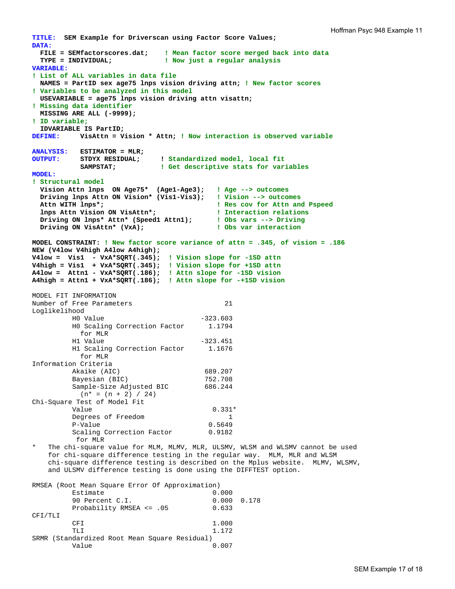```
TITLE: SEM Example for Driverscan using Factor Score Values; 
DATA: 
  FILE = SEMfactorscores.dat; ! Mean factor score merged back into data 
                             ! Now just a regular analysis
VARIABLE: 
! List of ALL variables in data file 
  NAMES = PartID sex age75 lnps vision driving attn; ! New factor scores 
! Variables to be analyzed in this model 
  USEVARIABLE = age75 lnps vision driving attn visattn; 
! Missing data identifier 
  MISSING ARE ALL (-9999); 
! ID variable; 
  IDVARIABLE IS PartID; 
DEFINE: VisAttn = Vision * Attn; ! Now interaction is observed variable 
ANALYSIS: ESTIMATOR = MLR; 
OUTPUT: STDYX RESIDUAL; ! Standardized model, local fit 
 SAMPSTAT; ! Get descriptive stats for variables
MODEL: 
! Structural model 
  Vision Attn lnps ON Age75* (Age1-Age3); ! Age --> outcomes 
  Driving lnps Attn ON Vision* (Vis1-Vis3); ! Vision --> outcomes
                                          ! Res cov for Attn and Pspeed
   lnps Attn Vision ON VisAttn*; ! Interaction relations
 Driving ON lnps* Attn* (Speed1 Attn1); ! Obs vars --> Driving 
 Driving ON VisAttn* (VxA); ! Obs var interaction
MODEL CONSTRAINT: ! New factor score variance of attn = .345, of vision = .186
NEW (V4low V4high A4low A4high); 
V4low = Vis1 - VxA*SQRT(.345); ! Vision slope for -1SD attn 
V4high = Vis1 + VxA*SQRT(.345); ! Vision slope for +1SD attn
A4low = Attn1 - VxA*SQRT(.186); ! Attn slope for -1SD vision 
A4high = Attn1 + VxA*SQRT(.186); ! Attn slope for -+1SD vision 
MODEL FIT INFORMATION 
Number of Free Parameters 21
Loglikelihood 
         HO Value -323.603<br>HO Scaling Correction Factor 1.1794
         H0 Scaling Correction Factor
           for MLR 
         H1 Value -323.451
          H1 Scaling Correction Factor 1.1676 
           for MLR 
Information Criteria 
         Akaike (AIC) 689.207<br>Bayesian (BIC) 752.708
         Bayesian (BIC)
         Sample-Size Adjusted BIC 686.244
          (n^* = (n + 2) / 24)Chi-Square Test of Model Fit 
Value 0.331*Degrees of Freedom 1<br>
P-Value 0.5649
         P-Value
         Scaling Correction Factor 0.9182
           for MLR 
   The chi-square value for MLM, MLMV, MLR, ULSMV, WLSM and WLSMV cannot be used
     for chi-square difference testing in the regular way. MLM, MLR and WLSM 
     chi-square difference testing is described on the Mplus website. MLMV, WLSMV, 
     and ULSMV difference testing is done using the DIFFTEST option. 
RMSEA (Root Mean Square Error Of Approximation) 
          Estimate 0.000 
          90 Percent C.I. 0.000 0.178 
         Probability RMSEA <= .05 0.633
CFI/TLI
```
CFI 1.000 TLI 1.172 SRMR (Standardized Root Mean Square Residual)

Value 0.007